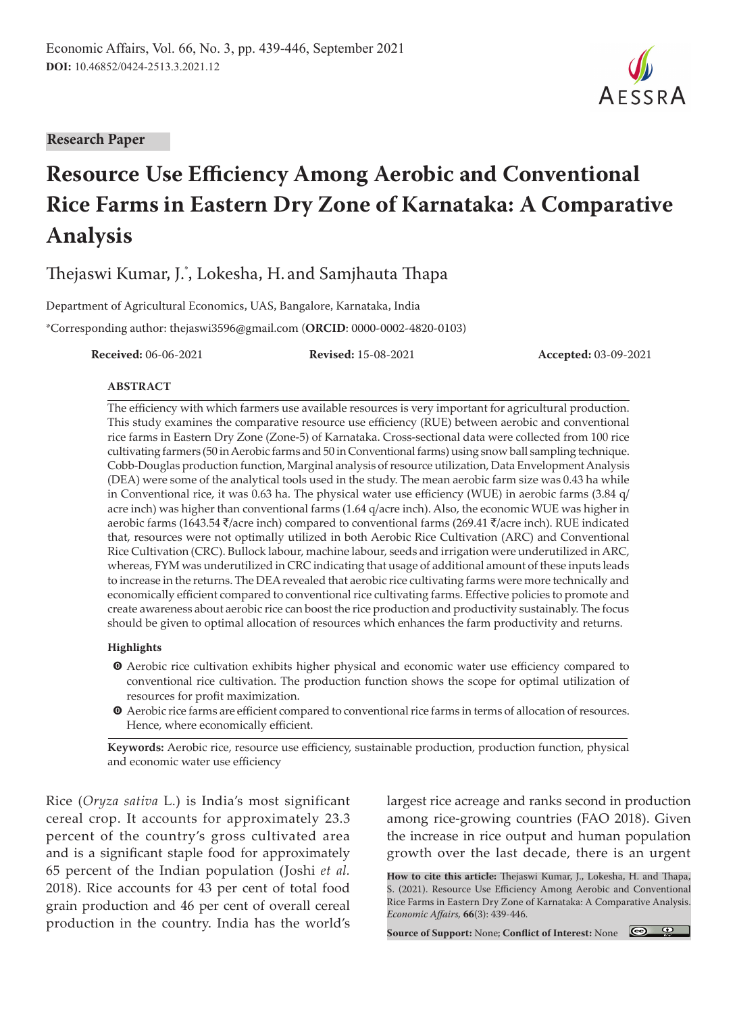#### **Research Paper**

# **Resource Use Efficiency Among Aerobic and Conventional Rice Farms in Eastern Dry Zone of Karnataka: A Comparative Analysis**

Thejaswi Kumar, J.\* , Lokesha, H. and Samjhauta Thapa

Department of Agricultural Economics, UAS, Bangalore, Karnataka, India \*Corresponding author: thejaswi3596@gmail.com (**ORCID**: 0000-0002-4820-0103)

**Received:** 06-06-2021 **Revised:** 15-08-2021 **Accepted:** 03-09-2021

#### **ABSTRACT**

The efficiency with which farmers use available resources is very important for agricultural production. This study examines the comparative resource use efficiency (RUE) between aerobic and conventional rice farms in Eastern Dry Zone (Zone-5) of Karnataka. Cross-sectional data were collected from 100 rice cultivating farmers (50 in Aerobic farms and 50 in Conventional farms) using snow ball sampling technique. Cobb-Douglas production function, Marginal analysis of resource utilization, Data Envelopment Analysis (DEA) were some of the analytical tools used in the study. The mean aerobic farm size was 0.43 ha while in Conventional rice, it was 0.63 ha. The physical water use efficiency (WUE) in aerobic farms (3.84 q/ acre inch) was higher than conventional farms (1.64 q/acre inch). Also, the economic WUE was higher in aerobic farms (1643.54  $\bar{\tau}/$ acre inch) compared to conventional farms (269.41  $\bar{\tau}/$ acre inch). RUE indicated that, resources were not optimally utilized in both Aerobic Rice Cultivation (ARC) and Conventional Rice Cultivation (CRC). Bullock labour, machine labour, seeds and irrigation were underutilized in ARC, whereas, FYM was underutilized in CRC indicating that usage of additional amount of these inputs leads to increase in the returns. The DEA revealed that aerobic rice cultivating farms were more technically and economically efficient compared to conventional rice cultivating farms. Effective policies to promote and create awareness about aerobic rice can boost the rice production and productivity sustainably. The focus should be given to optimal allocation of resources which enhances the farm productivity and returns.

#### **Highlights**

- $\bullet$  Aerobic rice cultivation exhibits higher physical and economic water use efficiency compared to conventional rice cultivation. The production function shows the scope for optimal utilization of resources for profit maximization.
- $\bullet$  Aerobic rice farms are efficient compared to conventional rice farms in terms of allocation of resources. Hence, where economically efficient.

**Keywords:** Aerobic rice, resource use efficiency, sustainable production, production function, physical and economic water use efficiency

Rice (*Oryza sativa* L.) is India's most significant cereal crop. It accounts for approximately 23.3 percent of the country's gross cultivated area and is a significant staple food for approximately 65 percent of the Indian population (Joshi *et al.* 2018). Rice accounts for 43 per cent of total food grain production and 46 per cent of overall cereal production in the country. India has the world's

largest rice acreage and ranks second in production among rice-growing countries (FAO 2018). Given the increase in rice output and human population growth over the last decade, there is an urgent

**How to cite this article:** Thejaswi Kumar, J., Lokesha, H. and Thapa, S. (2021). Resource Use Efficiency Among Aerobic and Conventional Rice Farms in Eastern Dry Zone of Karnataka: A Comparative Analysis. *Economic Affairs,* **66**(3): 439-446.

**Source of Support:** None; **Conflict of Interest:** None

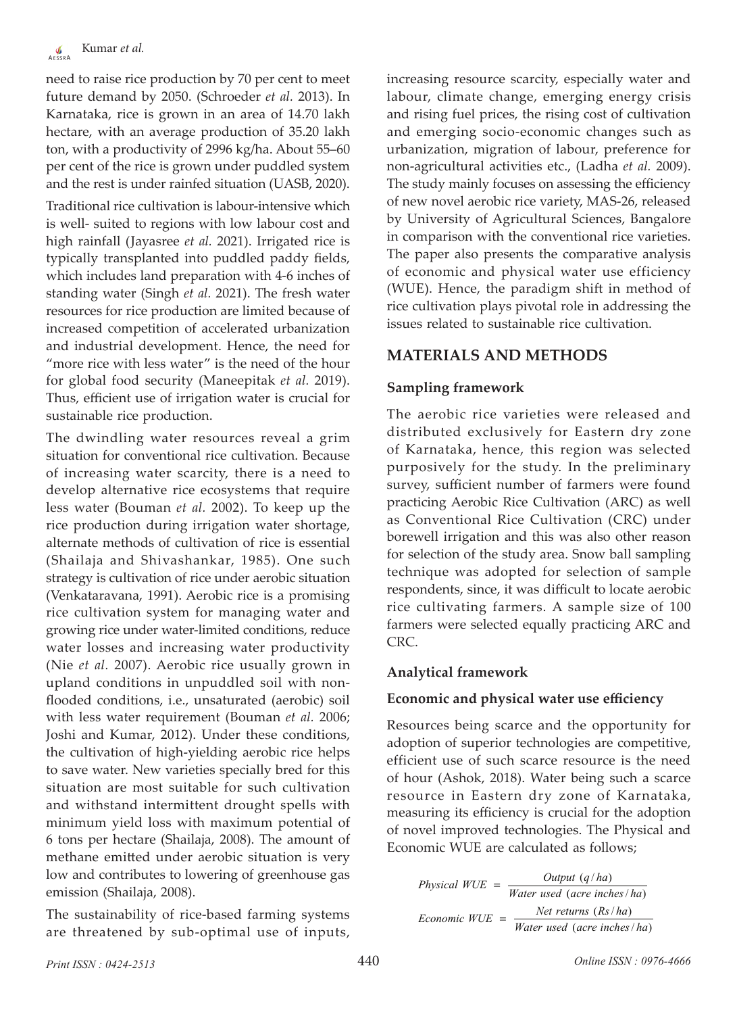need to raise rice production by 70 per cent to meet future demand by 2050. (Schroeder *et al.* 2013). In Karnataka, rice is grown in an area of 14.70 lakh hectare, with an average production of 35.20 lakh ton, with a productivity of 2996 kg/ha. About 55–60 per cent of the rice is grown under puddled system and the rest is under rainfed situation (UASB, 2020).

Traditional rice cultivation is labour-intensive which is well- suited to regions with low labour cost and high rainfall (Jayasree *et al.* 2021). Irrigated rice is typically transplanted into puddled paddy fields, which includes land preparation with 4-6 inches of standing water (Singh *et al.* 2021). The fresh water resources for rice production are limited because of increased competition of accelerated urbanization and industrial development. Hence, the need for "more rice with less water" is the need of the hour for global food security (Maneepitak *et al.* 2019). Thus, efficient use of irrigation water is crucial for sustainable rice production.

The dwindling water resources reveal a grim situation for conventional rice cultivation. Because of increasing water scarcity, there is a need to develop alternative rice ecosystems that require less water (Bouman *et al.* 2002). To keep up the rice production during irrigation water shortage, alternate methods of cultivation of rice is essential (Shailaja and Shivashankar, 1985). One such strategy is cultivation of rice under aerobic situation (Venkataravana, 1991). Aerobic rice is a promising rice cultivation system for managing water and growing rice under water-limited conditions, reduce water losses and increasing water productivity (Nie *et al.* 2007). Aerobic rice usually grown in upland conditions in unpuddled soil with nonflooded conditions, i.e., unsaturated (aerobic) soil with less water requirement (Bouman *et al.* 2006; Joshi and Kumar, 2012). Under these conditions, the cultivation of high-yielding aerobic rice helps to save water. New varieties specially bred for this situation are most suitable for such cultivation and withstand intermittent drought spells with minimum yield loss with maximum potential of 6 tons per hectare (Shailaja, 2008). The amount of methane emitted under aerobic situation is very low and contributes to lowering of greenhouse gas emission (Shailaja, 2008).

The sustainability of rice-based farming systems are threatened by sub-optimal use of inputs,

increasing resource scarcity, especially water and labour, climate change, emerging energy crisis and rising fuel prices, the rising cost of cultivation and emerging socio-economic changes such as urbanization, migration of labour, preference for non-agricultural activities etc., (Ladha *et al.* 2009). The study mainly focuses on assessing the efficiency of new novel aerobic rice variety, MAS-26, released by University of Agricultural Sciences, Bangalore in comparison with the conventional rice varieties. The paper also presents the comparative analysis of economic and physical water use efficiency (WUE). Hence, the paradigm shift in method of rice cultivation plays pivotal role in addressing the issues related to sustainable rice cultivation.

# **MATERIALS AND METHODS**

# **Sampling framework**

The aerobic rice varieties were released and distributed exclusively for Eastern dry zone of Karnataka, hence, this region was selected purposively for the study. In the preliminary survey, sufficient number of farmers were found practicing Aerobic Rice Cultivation (ARC) as well as Conventional Rice Cultivation (CRC) under borewell irrigation and this was also other reason for selection of the study area. Snow ball sampling technique was adopted for selection of sample respondents, since, it was difficult to locate aerobic rice cultivating farmers. A sample size of 100 farmers were selected equally practicing ARC and CRC.

# **Analytical framework**

# **Economic and physical water use efficiency**

Resources being scarce and the opportunity for adoption of superior technologies are competitive, efficient use of such scarce resource is the need of hour (Ashok, 2018). Water being such a scarce resource in Eastern dry zone of Karnataka, measuring its efficiency is crucial for the adoption of novel improved technologies. The Physical and Economic WUE are calculated as follows;

| Physical $WUE =$ | Output $(q/ha)$             |  |  |
|------------------|-----------------------------|--|--|
|                  | Water used (acre inches/ha) |  |  |
| Economic WUE     | Net returns $(Rs/ha)$       |  |  |
|                  | Water used (acre inches/ha) |  |  |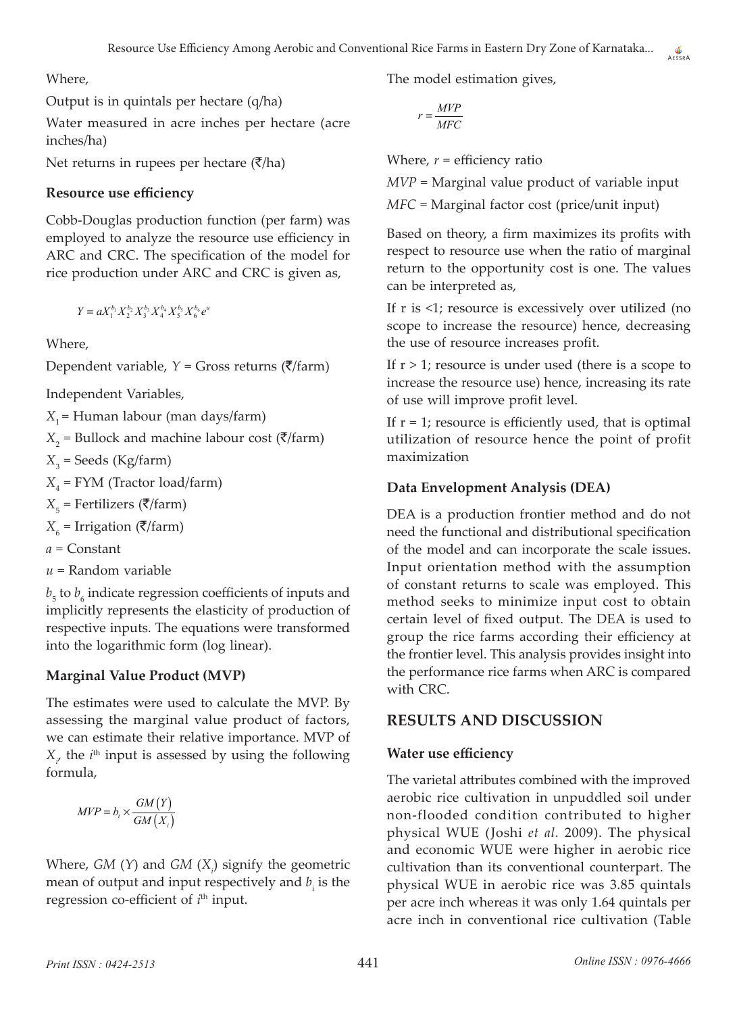Where,

Output is in quintals per hectare (q/ha)

Water measured in acre inches per hectare (acre inches/ha)

Net returns in rupees per hectare  $(\bar{\zeta}/h a)$ 

#### **Resource use efficiency**

Cobb-Douglas production function (per farm) was employed to analyze the resource use efficiency in ARC and CRC. The specification of the model for rice production under ARC and CRC is given as,

 $Y = aX_1^{b_1}X_2^{b_2}X_3^{b_3}X_4^{b_4}X_5^{b_5}X_6^{b_6}e^u$ 

Where,

Dependent variable,  $Y =$  Gross returns ( $\overline{\zeta}/\overline{\zeta}$ 

Independent Variables,

*X*<sub>1</sub> = Human labour (man days/farm)

 $X_2$  = Bullock and machine labour cost ( $\bar{\mathcal{F}}$ /farm)

*X*3 = Seeds (Kg/farm)

*X*4 = FYM (Tractor load/farm)

 $X_{5}$  = Fertilizers ( $\bar{\bar{\mathbf{z}}}/\bar{\mathbf{z}}$ rm)

 $X_{6}$  = Irrigation ( $\bar{\zeta}/\mathrm{farm}$ )

- *a* = Constant
- *u* = Random variable

 $b_5$  to  $b_6$  indicate regression coefficients of inputs and implicitly represents the elasticity of production of respective inputs. The equations were transformed into the logarithmic form (log linear).

### **Marginal Value Product (MVP)**

The estimates were used to calculate the MVP. By assessing the marginal value product of factors, we can estimate their relative importance. MVP of  $X_{\mu}$  the *i*<sup>th</sup> input is assessed by using the following formula,

$$
MVP = b_i \times \frac{GM(Y)}{GM(X_i)}
$$

Where, *GM* (*Y*) and *GM* (*Xi* ) signify the geometric mean of output and input respectively and  $b_i$  is the regression co-efficient of *i*<sup>th</sup> input.

The model estimation gives,

$$
r = \frac{MVP}{MFC}
$$

Where,  $r =$  efficiency ratio

*MVP* = Marginal value product of variable input

AESSRA

*MFC* = Marginal factor cost (price/unit input)

Based on theory, a firm maximizes its profits with respect to resource use when the ratio of marginal return to the opportunity cost is one. The values can be interpreted as,

If r is <1; resource is excessively over utilized (no scope to increase the resource) hence, decreasing the use of resource increases profit.

If  $r > 1$ ; resource is under used (there is a scope to increase the resource use) hence, increasing its rate of use will improve profit level.

If  $r = 1$ ; resource is efficiently used, that is optimal utilization of resource hence the point of profit maximization

### **Data Envelopment Analysis (DEA)**

DEA is a production frontier method and do not need the functional and distributional specification of the model and can incorporate the scale issues. Input orientation method with the assumption of constant returns to scale was employed. This method seeks to minimize input cost to obtain certain level of fixed output. The DEA is used to group the rice farms according their efficiency at the frontier level. This analysis provides insight into the performance rice farms when ARC is compared with CRC.

### **RESULTS AND DISCUSSION**

#### **Water use efficiency**

The varietal attributes combined with the improved aerobic rice cultivation in unpuddled soil under non-flooded condition contributed to higher physical WUE (Joshi *et al.* 2009). The physical and economic WUE were higher in aerobic rice cultivation than its conventional counterpart. The physical WUE in aerobic rice was 3.85 quintals per acre inch whereas it was only 1.64 quintals per acre inch in conventional rice cultivation (Table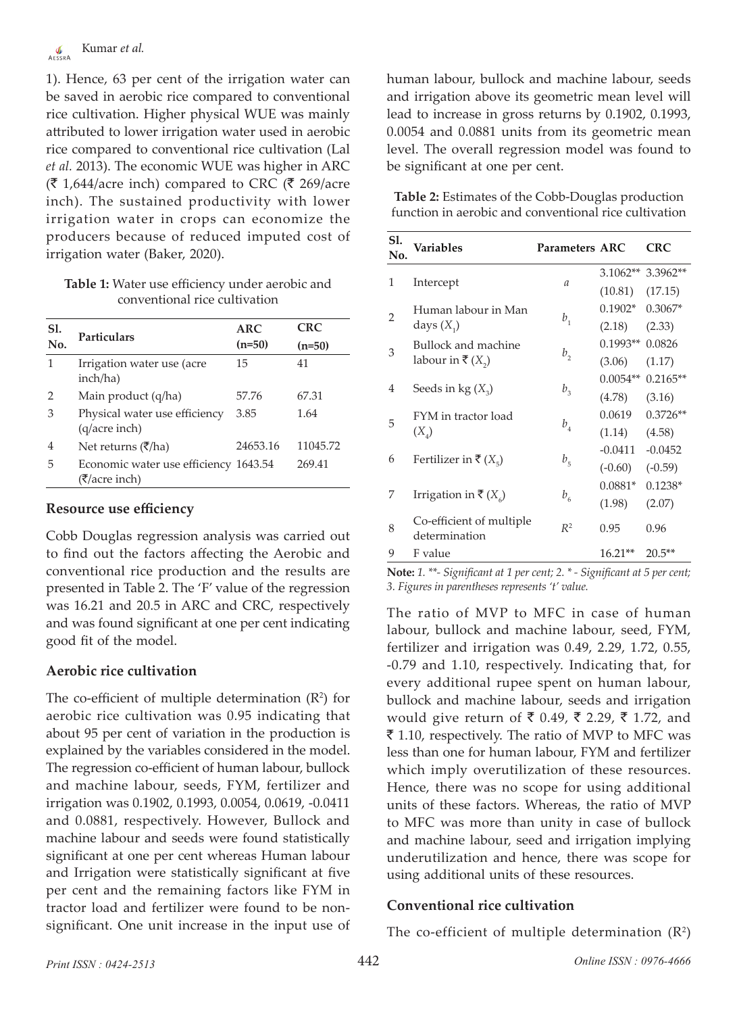1). Hence, 63 per cent of the irrigation water can be saved in aerobic rice compared to conventional rice cultivation. Higher physical WUE was mainly attributed to lower irrigation water used in aerobic rice compared to conventional rice cultivation (Lal *et al.* 2013). The economic WUE was higher in ARC  $(\bar{\mathfrak{F}} 1,644$ /acre inch) compared to CRC ( $\bar{\mathfrak{F}} 269$ /acre inch). The sustained productivity with lower irrigation water in crops can economize the producers because of reduced imputed cost of irrigation water (Baker, 2020).

**Table 1:** Water use efficiency under aerobic and conventional rice cultivation

| Sl. | Particulars                                            | <b>ARC</b> | <b>CRC</b> |
|-----|--------------------------------------------------------|------------|------------|
| No. |                                                        | $(n=50)$   | $(n=50)$   |
| 1   | Irrigation water use (acre<br>inch/ha)                 | 15         | 41         |
| 2   | Main product (q/ha)                                    | 57.76      | 67.31      |
| 3   | Physical water use efficiency<br>(q/acre inch)         | 3.85       | 1.64       |
| 4   | Net returns (₹/ha)                                     | 24653.16   | 11045.72   |
| 5   | Economic water use efficiency 1643.54<br>(₹/acre inch) |            | 269.41     |

#### **Resource use efficiency**

Cobb Douglas regression analysis was carried out to find out the factors affecting the Aerobic and conventional rice production and the results are presented in Table 2. The 'F' value of the regression was 16.21 and 20.5 in ARC and CRC, respectively and was found significant at one per cent indicating good fit of the model.

### **Aerobic rice cultivation**

The co-efficient of multiple determination  $(R^2)$  for aerobic rice cultivation was 0.95 indicating that about 95 per cent of variation in the production is explained by the variables considered in the model. The regression co-efficient of human labour, bullock and machine labour, seeds, FYM, fertilizer and irrigation was 0.1902, 0.1993, 0.0054, 0.0619, -0.0411 and 0.0881, respectively. However, Bullock and machine labour and seeds were found statistically significant at one per cent whereas Human labour and Irrigation were statistically significant at five per cent and the remaining factors like FYM in tractor load and fertilizer were found to be nonsignificant. One unit increase in the input use of

human labour, bullock and machine labour, seeds and irrigation above its geometric mean level will lead to increase in gross returns by 0.1902, 0.1993, 0.0054 and 0.0881 units from its geometric mean level. The overall regression model was found to be significant at one per cent.

**Table 2:** Estimates of the Cobb-Douglas production function in aerobic and conventional rice cultivation

| Sl.<br>No.                   | Variables                                 | <b>Parameters ARC</b>      |            | <b>CRC</b> |
|------------------------------|-------------------------------------------|----------------------------|------------|------------|
| 1                            |                                           |                            | $3.1062**$ | 3.3962**   |
|                              | Intercept                                 | $\mathfrak a$              | (10.81)    | (17.15)    |
| $\overline{2}$               | Human labour in Man                       |                            | $0.1902*$  | $0.3067*$  |
|                              | days $(X_1)$                              | $b_{1}$                    | (2.18)     | (2.33)     |
| 3                            | <b>Bullock and machine</b>                |                            | $0.1993**$ | 0.0826     |
|                              | labour in ₹ $(X_2)$                       | $b_{2}$                    | (3.06)     | (1.17)     |
|                              |                                           | $b_{3}$                    | $0.0054**$ | $0.2165**$ |
| 4                            | Seeds in $kg(X_2)$                        |                            | (4.78)     | (3.16)     |
| 5                            | FYM in tractor load                       |                            | 0.0619     | $0.3726**$ |
|                              | $(X_{\alpha})$                            | $b_{\scriptscriptstyle 4}$ |            | (4.58)     |
| 6<br>Fertilizer in ₹ $(X_5)$ |                                           | $b_{\overline{5}}$         | $-0.0411$  | $-0.0452$  |
|                              |                                           |                            | $(-0.60)$  | $(-0.59)$  |
| 7                            |                                           |                            | $0.0881*$  | $0.1238*$  |
|                              | Irrigation in ₹ $(X_6)$                   | $b_{\rm 6}$                | (1.98)     | (2.07)     |
| 8                            | Co-efficient of multiple<br>determination | $R^2$                      | 0.95       | 0.96       |
| 9                            | F value                                   |                            | $16.21**$  | $20.5**$   |

**Note:** *1. \*\*- Significant at 1 per cent; 2. \* - Significant at 5 per cent; 3. Figures in parentheses represents 't' value.*

The ratio of MVP to MFC in case of human labour, bullock and machine labour, seed, FYM, fertilizer and irrigation was 0.49, 2.29, 1.72, 0.55, -0.79 and 1.10, respectively. Indicating that, for every additional rupee spent on human labour, bullock and machine labour, seeds and irrigation would give return of ₹ 0.49, ₹ 2.29, ₹ 1.72, and  $\bar{\bar{\xi}}$  1.10, respectively. The ratio of MVP to MFC was less than one for human labour, FYM and fertilizer which imply overutilization of these resources. Hence, there was no scope for using additional units of these factors. Whereas, the ratio of MVP to MFC was more than unity in case of bullock and machine labour, seed and irrigation implying underutilization and hence, there was scope for using additional units of these resources.

# **Conventional rice cultivation**

The co-efficient of multiple determination  $(R^2)$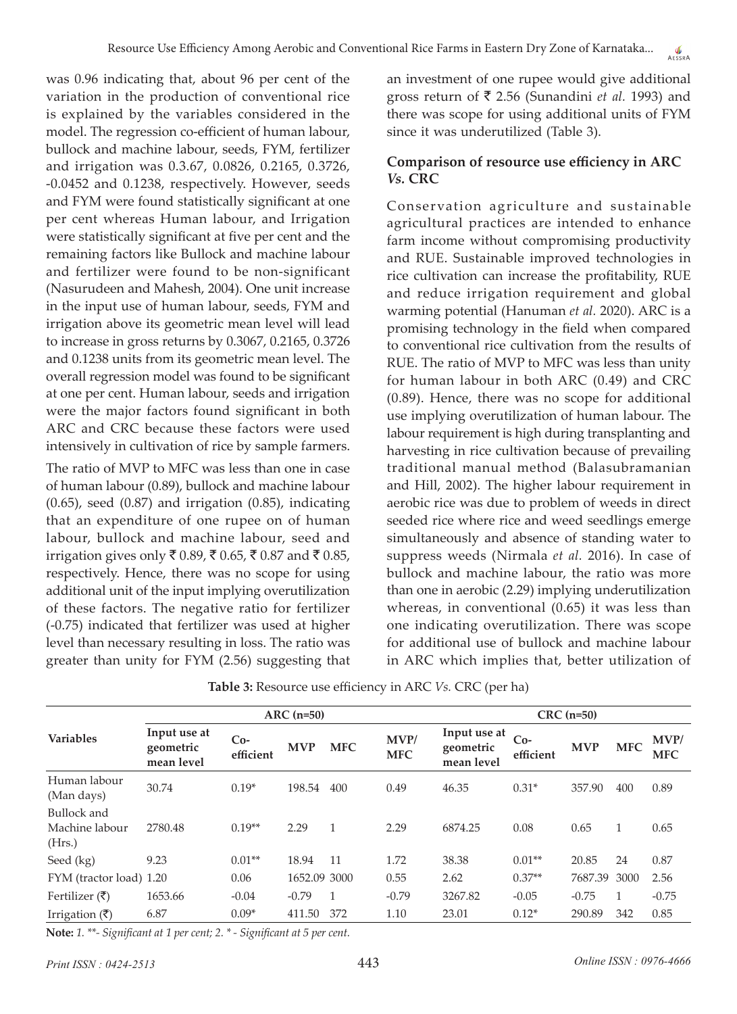was 0.96 indicating that, about 96 per cent of the variation in the production of conventional rice is explained by the variables considered in the model. The regression co-efficient of human labour, bullock and machine labour, seeds, FYM, fertilizer and irrigation was 0.3.67, 0.0826, 0.2165, 0.3726, -0.0452 and 0.1238, respectively. However, seeds and FYM were found statistically significant at one per cent whereas Human labour, and Irrigation were statistically significant at five per cent and the remaining factors like Bullock and machine labour and fertilizer were found to be non-significant (Nasurudeen and Mahesh, 2004). One unit increase in the input use of human labour, seeds, FYM and irrigation above its geometric mean level will lead to increase in gross returns by 0.3067, 0.2165, 0.3726 and 0.1238 units from its geometric mean level. The overall regression model was found to be significant at one per cent. Human labour, seeds and irrigation were the major factors found significant in both ARC and CRC because these factors were used intensively in cultivation of rice by sample farmers.

The ratio of MVP to MFC was less than one in case of human labour (0.89), bullock and machine labour (0.65), seed (0.87) and irrigation (0.85), indicating that an expenditure of one rupee on of human labour, bullock and machine labour, seed and irrigation gives only ₹ 0.89, ₹ 0.65, ₹ 0.87 and ₹ 0.85, respectively. Hence, there was no scope for using additional unit of the input implying overutilization of these factors. The negative ratio for fertilizer (-0.75) indicated that fertilizer was used at higher level than necessary resulting in loss. The ratio was greater than unity for FYM (2.56) suggesting that

an investment of one rupee would give additional gross return of  $\bar{\bar{\xi}}$  2.56 (Sunandini *et al.* 1993) and there was scope for using additional units of FYM since it was underutilized (Table 3).

### **Comparison of resource use efficiency in ARC**  *Vs.* **CRC**

Conservation agriculture and sustainable agricultural practices are intended to enhance farm income without compromising productivity and RUE. Sustainable improved technologies in rice cultivation can increase the profitability, RUE and reduce irrigation requirement and global warming potential (Hanuman *et al.* 2020). ARC is a promising technology in the field when compared to conventional rice cultivation from the results of RUE. The ratio of MVP to MFC was less than unity for human labour in both ARC (0.49) and CRC (0.89). Hence, there was no scope for additional use implying overutilization of human labour. The labour requirement is high during transplanting and harvesting in rice cultivation because of prevailing traditional manual method (Balasubramanian and Hill, 2002). The higher labour requirement in aerobic rice was due to problem of weeds in direct seeded rice where rice and weed seedlings emerge simultaneously and absence of standing water to suppress weeds (Nirmala *et al.* 2016). In case of bullock and machine labour, the ratio was more than one in aerobic (2.29) implying underutilization whereas, in conventional (0.65) it was less than one indicating overutilization. There was scope for additional use of bullock and machine labour in ARC which implies that, better utilization of

|                                         | $ARC (n=50)$                            |                    |              |              |                    | $CRC$ (n=50)                            |                    |            |            |                    |
|-----------------------------------------|-----------------------------------------|--------------------|--------------|--------------|--------------------|-----------------------------------------|--------------------|------------|------------|--------------------|
| <b>Variables</b>                        | Input use at<br>geometric<br>mean level | $Co-$<br>efficient | <b>MVP</b>   | <b>MFC</b>   | MVP/<br><b>MFC</b> | Input use at<br>geometric<br>mean level | $Co-$<br>efficient | <b>MVP</b> | <b>MFC</b> | MVP/<br><b>MFC</b> |
| Human labour<br>(Man days)              | 30.74                                   | $0.19*$            | 198.54       | 400          | 0.49               | 46.35                                   | $0.31*$            | 357.90     | 400        | 0.89               |
| Bullock and<br>Machine labour<br>(Hrs.) | 2780.48                                 | $0.19**$           | 2.29         | $\mathbf{1}$ | 2.29               | 6874.25                                 | 0.08               | 0.65       | 1          | 0.65               |
| Seed (kg)                               | 9.23                                    | $0.01**$           | 18.94        | 11           | 1.72               | 38.38                                   | $0.01**$           | 20.85      | 24         | 0.87               |
| FYM (tractor load) 1.20                 |                                         | 0.06               | 1652.09 3000 |              | 0.55               | 2.62                                    | $0.37**$           | 7687.39    | 3000       | 2.56               |
| Fertilizer $(\bar{\zeta})$              | 1653.66                                 | $-0.04$            | $-0.79$      |              | $-0.79$            | 3267.82                                 | $-0.05$            | $-0.75$    |            | $-0.75$            |
| Irrigation $(\bar{\zeta})$              | 6.87                                    | $0.09*$            | 411.50       | 372          | 1.10               | 23.01                                   | $0.12*$            | 290.89     | 342        | 0.85               |

**Note:** *1. \*\*- Significant at 1 per cent; 2. \* - Significant at 5 per cent.*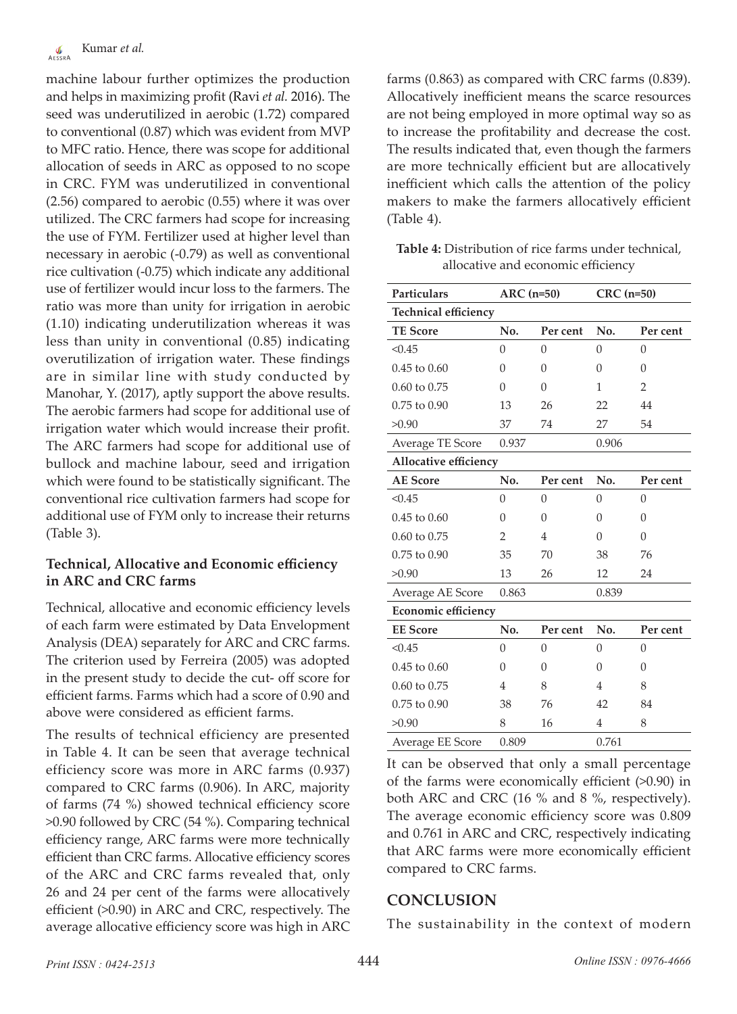machine labour further optimizes the production and helps in maximizing profit (Ravi *et al.* 2016). The seed was underutilized in aerobic (1.72) compared to conventional (0.87) which was evident from MVP to MFC ratio. Hence, there was scope for additional allocation of seeds in ARC as opposed to no scope in CRC. FYM was underutilized in conventional (2.56) compared to aerobic (0.55) where it was over utilized. The CRC farmers had scope for increasing the use of FYM. Fertilizer used at higher level than necessary in aerobic (-0.79) as well as conventional rice cultivation (-0.75) which indicate any additional use of fertilizer would incur loss to the farmers. The ratio was more than unity for irrigation in aerobic (1.10) indicating underutilization whereas it was less than unity in conventional (0.85) indicating overutilization of irrigation water. These findings are in similar line with study conducted by Manohar, Y. (2017), aptly support the above results. The aerobic farmers had scope for additional use of irrigation water which would increase their profit. The ARC farmers had scope for additional use of bullock and machine labour, seed and irrigation which were found to be statistically significant. The conventional rice cultivation farmers had scope for additional use of FYM only to increase their returns (Table 3).

# **Technical, Allocative and Economic efficiency in ARC and CRC farms**

Technical, allocative and economic efficiency levels of each farm were estimated by Data Envelopment Analysis (DEA) separately for ARC and CRC farms. The criterion used by Ferreira (2005) was adopted in the present study to decide the cut- off score for efficient farms. Farms which had a score of 0.90 and above were considered as efficient farms.

The results of technical efficiency are presented in Table 4. It can be seen that average technical efficiency score was more in ARC farms (0.937) compared to CRC farms (0.906). In ARC, majority of farms (74 %) showed technical efficiency score >0.90 followed by CRC (54 %). Comparing technical efficiency range, ARC farms were more technically efficient than CRC farms. Allocative efficiency scores of the ARC and CRC farms revealed that, only 26 and 24 per cent of the farms were allocatively efficient (>0.90) in ARC and CRC, respectively. The average allocative efficiency score was high in ARC farms (0.863) as compared with CRC farms (0.839). Allocatively inefficient means the scarce resources are not being employed in more optimal way so as to increase the profitability and decrease the cost. The results indicated that, even though the farmers are more technically efficient but are allocatively inefficient which calls the attention of the policy makers to make the farmers allocatively efficient (Table 4).

**Table 4:** Distribution of rice farms under technical, allocative and economic efficiency

| <b>Particulars</b>          | $ARC (n=50)$   |                | $CRC$ (n=50)   |                |  |  |
|-----------------------------|----------------|----------------|----------------|----------------|--|--|
| <b>Technical efficiency</b> |                |                |                |                |  |  |
| <b>TE Score</b>             | No.            | Per cent       | No.            | Per cent       |  |  |
| < 0.45                      | $\theta$       | $\Omega$       | $\Omega$       | $\theta$       |  |  |
| $0.45$ to $0.60$            | $\theta$       | $\Omega$       | $\Omega$       | $\theta$       |  |  |
| $0.60$ to $0.75$            | $\Omega$       | $\theta$       | 1              | $\overline{2}$ |  |  |
| 0.75 to 0.90                | 13             | 26             | 22             | 44             |  |  |
| >0.90                       | 37             | 74             | 27             | 54             |  |  |
| Average TE Score            | 0.937          |                | 0.906          |                |  |  |
| Allocative efficiency       |                |                |                |                |  |  |
| <b>AE</b> Score             | No.            | Per cent       | No.            | Per cent       |  |  |
| < 0.45                      | $\theta$       | $\overline{0}$ | $\overline{0}$ | $\theta$       |  |  |
| $0.45$ to $0.60$            | 0              | $\theta$       | $\Omega$       | $\theta$       |  |  |
| 0.60 to 0.75                | 2              | $\overline{4}$ | $\Omega$       | $\Omega$       |  |  |
| 0.75 to 0.90                | 35             | 70             | 38             | 76             |  |  |
| >0.90                       | 13             | 26             | 12             | 24             |  |  |
| Average AE Score            | 0.863          |                | 0.839          |                |  |  |
| Economic efficiency         |                |                |                |                |  |  |
| <b>EE</b> Score             | No.            | Per cent       | No.            | Per cent       |  |  |
| < 0.45                      | $\overline{0}$ | $\overline{0}$ | $\overline{0}$ | $\overline{0}$ |  |  |
| $0.45$ to $0.60$            | $\Omega$       | $\theta$       | $\Omega$       | $\theta$       |  |  |
| 0.60 to 0.75                | $\overline{4}$ | 8              | 4              | 8              |  |  |
| $0.75$ to $0.90$            | 38             | 76             | 42             | 84             |  |  |
| >0.90                       | 8              | 16             | 4              | 8              |  |  |
| Average EE Score            | 0.809          |                | 0.761          |                |  |  |

It can be observed that only a small percentage of the farms were economically efficient (>0.90) in both ARC and CRC (16 % and 8 %, respectively). The average economic efficiency score was 0.809 and 0.761 in ARC and CRC, respectively indicating that ARC farms were more economically efficient compared to CRC farms.

# **CONCLUSION**

The sustainability in the context of modern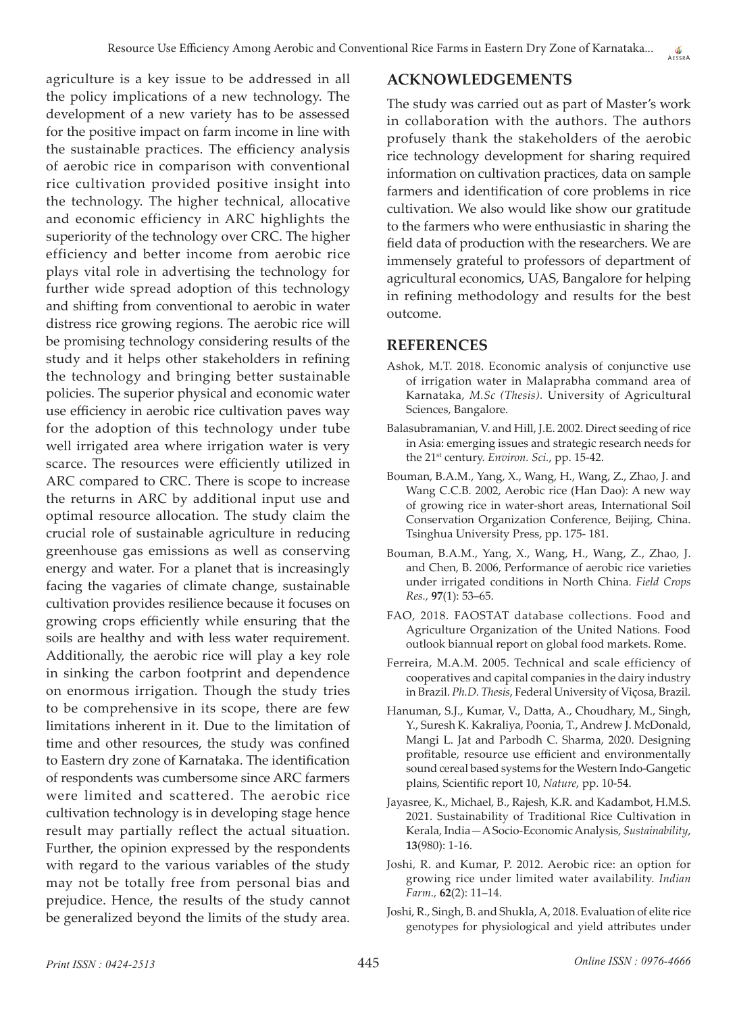agriculture is a key issue to be addressed in all the policy implications of a new technology. The development of a new variety has to be assessed for the positive impact on farm income in line with the sustainable practices. The efficiency analysis of aerobic rice in comparison with conventional rice cultivation provided positive insight into the technology. The higher technical, allocative and economic efficiency in ARC highlights the superiority of the technology over CRC. The higher efficiency and better income from aerobic rice plays vital role in advertising the technology for further wide spread adoption of this technology and shifting from conventional to aerobic in water distress rice growing regions. The aerobic rice will be promising technology considering results of the study and it helps other stakeholders in refining the technology and bringing better sustainable policies. The superior physical and economic water use efficiency in aerobic rice cultivation paves way for the adoption of this technology under tube well irrigated area where irrigation water is very scarce. The resources were efficiently utilized in ARC compared to CRC. There is scope to increase the returns in ARC by additional input use and optimal resource allocation. The study claim the crucial role of sustainable agriculture in reducing greenhouse gas emissions as well as conserving energy and water. For a planet that is increasingly facing the vagaries of climate change, sustainable cultivation provides resilience because it focuses on growing crops efficiently while ensuring that the soils are healthy and with less water requirement. Additionally, the aerobic rice will play a key role in sinking the carbon footprint and dependence on enormous irrigation. Though the study tries to be comprehensive in its scope, there are few limitations inherent in it. Due to the limitation of time and other resources, the study was confined to Eastern dry zone of Karnataka. The identification of respondents was cumbersome since ARC farmers were limited and scattered. The aerobic rice cultivation technology is in developing stage hence result may partially reflect the actual situation. Further, the opinion expressed by the respondents with regard to the various variables of the study may not be totally free from personal bias and prejudice. Hence, the results of the study cannot be generalized beyond the limits of the study area.

# **ACKNOWLEDGEMENTS**

The study was carried out as part of Master's work in collaboration with the authors. The authors profusely thank the stakeholders of the aerobic rice technology development for sharing required information on cultivation practices, data on sample farmers and identification of core problems in rice cultivation. We also would like show our gratitude to the farmers who were enthusiastic in sharing the field data of production with the researchers. We are immensely grateful to professors of department of agricultural economics, UAS, Bangalore for helping in refining methodology and results for the best outcome.

## **REFERENCES**

- Ashok, M.T. 2018. Economic analysis of conjunctive use of irrigation water in Malaprabha command area of Karnataka, *M.Sc (Thesis).* University of Agricultural Sciences, Bangalore.
- Balasubramanian, V. and Hill, J.E. 2002. Direct seeding of rice in Asia: emerging issues and strategic research needs for the 21st century. *Environ. Sci.*, pp. 15-42.
- Bouman, B.A.M., Yang, X., Wang, H., Wang, Z., Zhao, J. and Wang C.C.B. 2002, Aerobic rice (Han Dao): A new way of growing rice in water-short areas, International Soil Conservation Organization Conference, Beijing, China. Tsinghua University Press, pp. 175- 181.
- Bouman, B.A.M., Yang, X., Wang, H., Wang, Z., Zhao, J. and Chen, B. 2006, Performance of aerobic rice varieties under irrigated conditions in North China. *Field Crops Res.,* **97**(1): 53–65.
- FAO, 2018. FAOSTAT database collections. Food and Agriculture Organization of the United Nations. Food outlook biannual report on global food markets. Rome.
- Ferreira, M.A.M. 2005. Technical and scale efficiency of cooperatives and capital companies in the dairy industry in Brazil. *Ph.D. Thesis*, Federal University of Viçosa, Brazil.
- Hanuman, S.J., Kumar, V., Datta, A., Choudhary, M., Singh, Y., Suresh K. Kakraliya, Poonia, T., Andrew J. McDonald, Mangi L. Jat and Parbodh C. Sharma, 2020. Designing profitable, resource use efficient and environmentally sound cereal based systems for the Western Indo-Gangetic plains, Scientific report 10, *Nature*, pp. 10-54.
- Jayasree, K., Michael, B., Rajesh, K.R. and Kadambot, H.M.S. 2021. Sustainability of Traditional Rice Cultivation in Kerala, India—A Socio-Economic Analysis, *Sustainability*, **13**(980): 1-16.
- Joshi, R. and Kumar, P. 2012. Aerobic rice: an option for growing rice under limited water availability. *Indian Farm.,* **62**(2): 11–14.
- Joshi, R., Singh, B. and Shukla, A, 2018. Evaluation of elite rice genotypes for physiological and yield attributes under